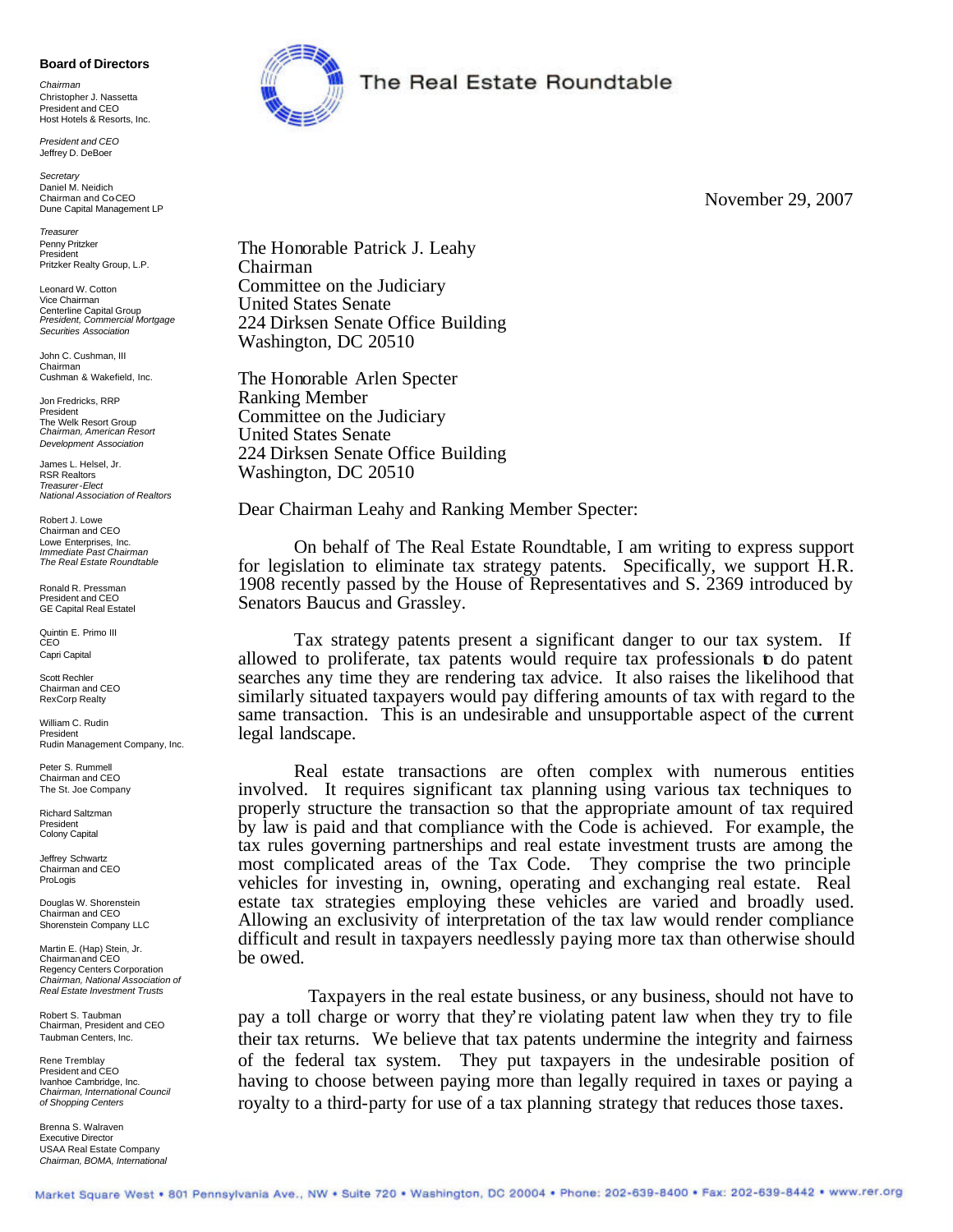## **Board of Directors**

*Chairman* Christopher J. Nassetta President and CEO Host Hotels & Resorts, Inc.

*President and CEO* Jeffrey D. DeBoer

*Secretary* Daniel M. Neidich Chairman and CoCEO Dune Capital Management LP

*Treasurer* Penny Pritzker President Pritzker Realty Group, L.P.

Leonard W. Cotton Vice Chairman Centerline Capital Group *President, Commercial Mortgage Securities Association*

John C. Cushman, III Chairman Cushman & Wakefield, Inc.

Jon Fredricks, RRP President The Welk Resort Group *Chairman, American Resort Development Association*

James L. Helsel, Jr. RSR Realtors *Treasurer-Elect National Association of Realtors*

Robert J. Lowe Chairman and CEO Lowe Enterprises, Inc. *Immediate Past Chairman The Real Estate Roundtable*

Ronald R. Pressman President and CEO GE Capital Real Estatel

Quintin E. Primo III CEO Capri Capital

Scott Rechler Chairman and CEO RexCorp Realty

William C. Rudin President Rudin Management Company, Inc.

Peter S. Rummell Chairman and CEO The St. Joe Company

Richard Saltzman President Colony Capital

Jeffrey Schwartz Chairman and CEO ProLogis

Douglas W. Shorenstein Chairman and CEO Shorenstein Company LLC

Martin E. (Hap) Stein, Jr. Chairmanand CEO Regency Centers Corporation *Chairman, National Association of Real Estate Investment Trusts*

Robert S. Taubman Chairman, President and CEO Taubman Centers, Inc.

Rene Tremblay President and CEO Ivanhoe Cambridge, Inc. *Chairman, International Council of Shopping Centers*

Brenna S. Walraven Executive Director USAA Real Estate Company *Chairman, BOMA, International*



## The Real Estate Roundtable

November 29, 2007

The Honorable Patrick J. Leahy Chairman Committee on the Judiciary United States Senate 224 Dirksen Senate Office Building Washington, DC 20510

The Honorable Arlen Specter Ranking Member Committee on the Judiciary United States Senate 224 Dirksen Senate Office Building Washington, DC 20510

Dear Chairman Leahy and Ranking Member Specter:

On behalf of The Real Estate Roundtable, I am writing to express support for legislation to eliminate tax strategy patents. Specifically, we support H.R. 1908 recently passed by the House of Representatives and S. 2369 introduced by Senators Baucus and Grassley.

Tax strategy patents present a significant danger to our tax system. If allowed to proliferate, tax patents would require tax professionals to do patent searches any time they are rendering tax advice. It also raises the likelihood that similarly situated taxpayers would pay differing amounts of tax with regard to the same transaction. This is an undesirable and unsupportable aspect of the current legal landscape.

Real estate transactions are often complex with numerous entities involved. It requires significant tax planning using various tax techniques to properly structure the transaction so that the appropriate amount of tax required by law is paid and that compliance with the Code is achieved. For example, the tax rules governing partnerships and real estate investment trusts are among the most complicated areas of the Tax Code. They comprise the two principle vehicles for investing in, owning, operating and exchanging real estate. Real estate tax strategies employing these vehicles are varied and broadly used. Allowing an exclusivity of interpretation of the tax law would render compliance difficult and result in taxpayers needlessly paying more tax than otherwise should be owed.

Taxpayers in the real estate business, or any business, should not have to pay a toll charge or worry that they're violating patent law when they try to file their tax returns. We believe that tax patents undermine the integrity and fairness of the federal tax system. They put taxpayers in the undesirable position of having to choose between paying more than legally required in taxes or paying a royalty to a third-party for use of a tax planning strategy that reduces those taxes.